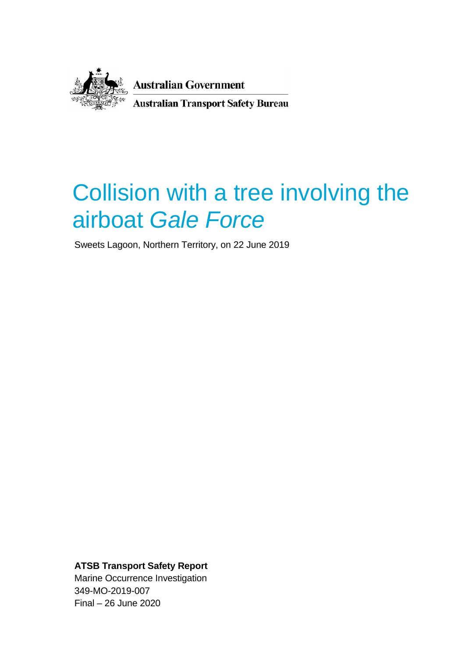

**Australian Government Australian Transport Safety Bureau** 

# Collision with a tree involving the airboat *Gale Force*

Sweets Lagoon, Northern Territory, on 22 June 2019

**ATSB Transport Safety Report**

Marine Occurrence Investigation 349-MO-2019-007 Final – 26 June 2020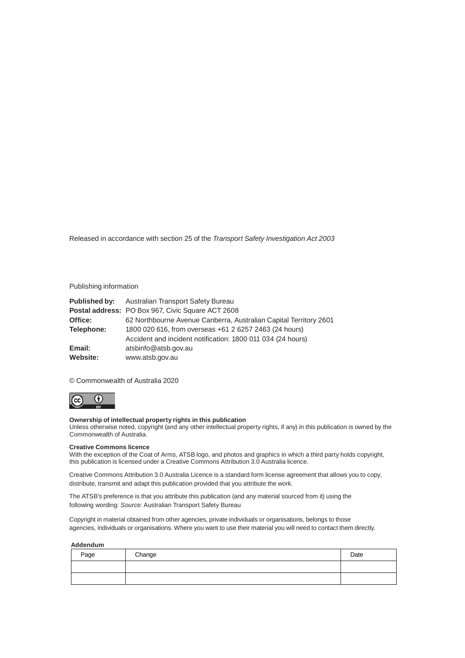Released in accordance with section 25 of the *Transport Safety Investigation Act 2003*

#### Publishing information

|            | <b>Published by:</b> Australian Transport Safety Bureau           |
|------------|-------------------------------------------------------------------|
|            | <b>Postal address: PO Box 967, Civic Square ACT 2608</b>          |
| Office:    | 62 Northbourne Avenue Canberra, Australian Capital Territory 2601 |
| Telephone: | 1800 020 616, from overseas +61 2 6257 2463 (24 hours)            |
|            | Accident and incident notification: 1800 011 034 (24 hours)       |
| Email:     | atsbinfo@atsb.gov.au                                              |
| Website:   | www.atsb.gov.au                                                   |

© Commonwealth of Australia 2020

 $\overline{(\mathfrak{c}\mathfrak{c})}$  $\odot$ 

#### **Ownership of intellectual property rights in this publication**

Unless otherwise noted, copyright (and any other intellectual property rights, if any) in this publication is owned by the Commonwealth of Australia.

#### **Creative Commons licence**

With the exception of the Coat of Arms, ATSB logo, and photos and graphics in which a third party holds copyright, this publication is licensed under a Creative Commons Attribution 3.0 Australia licence.

Creative Commons Attribution 3.0 Australia Licence is a standard form license agreement that allows you to copy, distribute, transmit and adapt this publication provided that you attribute the work.

The ATSB's preference is that you attribute this publication (and any material sourced from it) using the following wording: *Source:* Australian Transport Safety Bureau

Copyright in material obtained from other agencies, private individuals or organisations, belongs to those agencies, individuals or organisations. Where you want to use their material you will need to contact them directly.

#### **Addendum**

| Page | Change | Date |
|------|--------|------|
|      |        |      |
|      |        |      |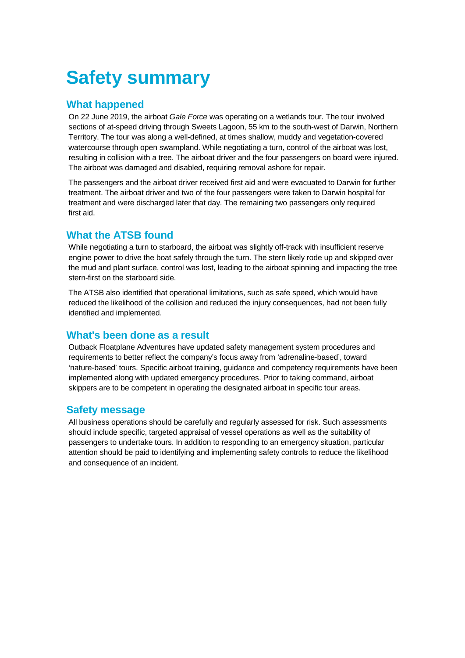## **Safety summary**

## **What happened**

On 22 June 2019, the airboat *Gale Force* was operating on a wetlands tour. The tour involved sections of at-speed driving through Sweets Lagoon, 55 km to the south-west of Darwin, Northern Territory. The tour was along a well-defined, at times shallow, muddy and vegetation-covered watercourse through open swampland. While negotiating a turn, control of the airboat was lost, resulting in collision with a tree. The airboat driver and the four passengers on board were injured. The airboat was damaged and disabled, requiring removal ashore for repair.

The passengers and the airboat driver received first aid and were evacuated to Darwin for further treatment. The airboat driver and two of the four passengers were taken to Darwin hospital for treatment and were discharged later that day. The remaining two passengers only required first aid.

## **What the ATSB found**

While negotiating a turn to starboard, the airboat was slightly off-track with insufficient reserve engine power to drive the boat safely through the turn. The stern likely rode up and skipped over the mud and plant surface, control was lost, leading to the airboat spinning and impacting the tree stern-first on the starboard side.

The ATSB also identified that operational limitations, such as safe speed, which would have reduced the likelihood of the collision and reduced the injury consequences, had not been fully identified and implemented.

## **What's been done as a result**

Outback Floatplane Adventures have updated safety management system procedures and requirements to better reflect the company's focus away from 'adrenaline-based', toward 'nature-based' tours. Specific airboat training, guidance and competency requirements have been implemented along with updated emergency procedures. Prior to taking command, airboat skippers are to be competent in operating the designated airboat in specific tour areas.

## **Safety message**

All business operations should be carefully and regularly assessed for risk. Such assessments should include specific, targeted appraisal of vessel operations as well as the suitability of passengers to undertake tours. In addition to responding to an emergency situation, particular attention should be paid to identifying and implementing safety controls to reduce the likelihood and consequence of an incident.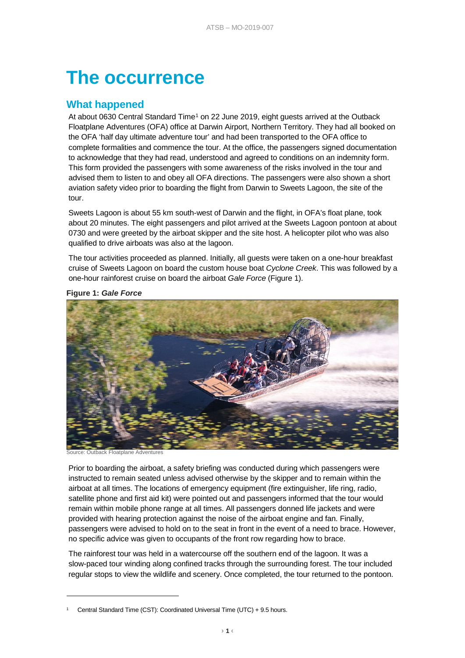## **The occurrence**

## **What happened**

At about 0630 Central Standard Time<sup>[1](#page-3-1)</sup> on 22 June 2019, eight guests arrived at the Outback Floatplane Adventures (OFA) office at Darwin Airport, Northern Territory. They had all booked on the OFA 'half day ultimate adventure tour' and had been transported to the OFA office to complete formalities and commence the tour. At the office, the passengers signed documentation to acknowledge that they had read, understood and agreed to conditions on an indemnity form. This form provided the passengers with some awareness of the risks involved in the tour and advised them to listen to and obey all OFA directions. The passengers were also shown a short aviation safety video prior to boarding the flight from Darwin to Sweets Lagoon, the site of the tour.

Sweets Lagoon is about 55 km south-west of Darwin and the flight, in OFA's float plane, took about 20 minutes. The eight passengers and pilot arrived at the Sweets Lagoon pontoon at about 0730 and were greeted by the airboat skipper and the site host. A helicopter pilot who was also qualified to drive airboats was also at the lagoon.

The tour activities proceeded as planned. Initially, all guests were taken on a one-hour breakfast cruise of Sweets Lagoon on board the custom house boat *Cyclone Creek*. This was followed by a one-hour rainforest cruise on board the airboat *Gale Force* [\(Figure 1\)](#page-3-0).



<span id="page-3-0"></span>**Figure 1:** *Gale Force*

Outback Floatplane Adventures

-

Prior to boarding the airboat, a safety briefing was conducted during which passengers were instructed to remain seated unless advised otherwise by the skipper and to remain within the airboat at all times. The locations of emergency equipment (fire extinguisher, life ring, radio, satellite phone and first aid kit) were pointed out and passengers informed that the tour would remain within mobile phone range at all times. All passengers donned life jackets and were provided with hearing protection against the noise of the airboat engine and fan. Finally, passengers were advised to hold on to the seat in front in the event of a need to brace. However, no specific advice was given to occupants of the front row regarding how to brace.

The rainforest tour was held in a watercourse off the southern end of the lagoon. It was a slow-paced tour winding along confined tracks through the surrounding forest. The tour included regular stops to view the wildlife and scenery. Once completed, the tour returned to the pontoon.

<span id="page-3-1"></span><sup>1</sup> Central Standard Time (CST): Coordinated Universal Time (UTC) + 9.5 hours.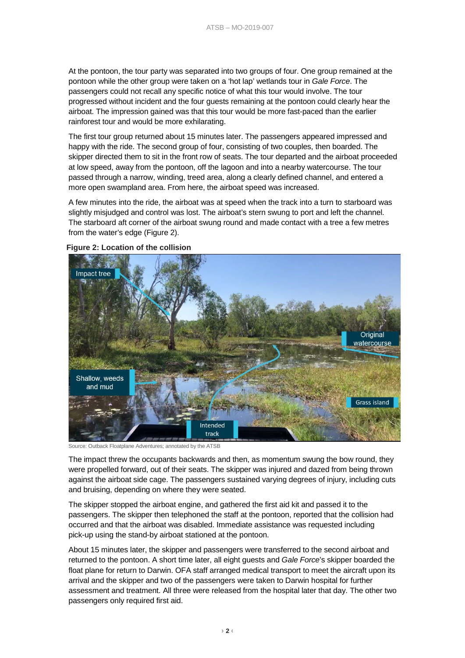At the pontoon, the tour party was separated into two groups of four. One group remained at the pontoon while the other group were taken on a 'hot lap' wetlands tour in *Gale Force*. The passengers could not recall any specific notice of what this tour would involve. The tour progressed without incident and the four guests remaining at the pontoon could clearly hear the airboat. The impression gained was that this tour would be more fast-paced than the earlier rainforest tour and would be more exhilarating.

The first tour group returned about 15 minutes later. The passengers appeared impressed and happy with the ride. The second group of four, consisting of two couples, then boarded. The skipper directed them to sit in the front row of seats. The tour departed and the airboat proceeded at low speed, away from the pontoon, off the lagoon and into a nearby watercourse. The tour passed through a narrow, winding, treed area, along a clearly defined channel, and entered a more open swampland area. From here, the airboat speed was increased.

A few minutes into the ride, the airboat was at speed when the track into a turn to starboard was slightly misjudged and control was lost. The airboat's stern swung to port and left the channel. The starboard aft corner of the airboat swung round and made contact with a tree a few metres from the water's edge [\(Figure 2\)](#page-4-0).

<span id="page-4-0"></span>

**Figure 2: Location of the collision**

Source: Outback Floatplane Adventures; annotated by the ATSB

The impact threw the occupants backwards and then, as momentum swung the bow round, they were propelled forward, out of their seats. The skipper was injured and dazed from being thrown against the airboat side cage. The passengers sustained varying degrees of injury, including cuts and bruising, depending on where they were seated.

The skipper stopped the airboat engine, and gathered the first aid kit and passed it to the passengers. The skipper then telephoned the staff at the pontoon, reported that the collision had occurred and that the airboat was disabled. Immediate assistance was requested including pick-up using the stand-by airboat stationed at the pontoon.

About 15 minutes later, the skipper and passengers were transferred to the second airboat and returned to the pontoon. A short time later, all eight guests and *Gale Force*'s skipper boarded the float plane for return to Darwin. OFA staff arranged medical transport to meet the aircraft upon its arrival and the skipper and two of the passengers were taken to Darwin hospital for further assessment and treatment. All three were released from the hospital later that day. The other two passengers only required first aid.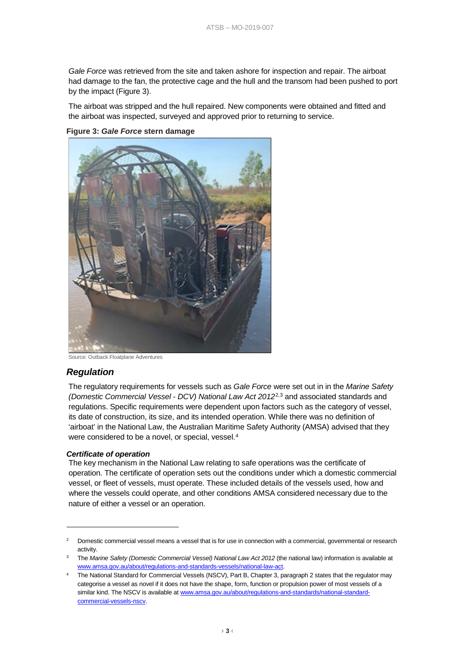*Gale Force* was retrieved from the site and taken ashore for inspection and repair. The airboat had damage to the fan, the protective cage and the hull and the transom had been pushed to port by the impact [\(Figure 3\)](#page-5-0).

The airboat was stripped and the hull repaired. New components were obtained and fitted and the airboat was inspected, surveyed and approved prior to returning to service.

#### <span id="page-5-0"></span>**Figure 3:** *Gale Force* **stern damage**



#### Source: Outback Floatplane Adventures

#### *Regulation*

-

The regulatory requirements for vessels such as *Gale Force* were set out in in the *Marine Safety (Domestic Commercial Vessel - DCV) National Law Act 2012*[2](#page-5-1),[3](#page-5-2) and associated standards and regulations. Specific requirements were dependent upon factors such as the category of vessel, its date of construction, its size, and its intended operation. While there was no definition of 'airboat' in the National Law, the Australian Maritime Safety Authority (AMSA) advised that they were considered to be a novel, or special, vessel.<sup>[4](#page-5-3)</sup>

#### *Certificate of operation*

The key mechanism in the National Law relating to safe operations was the certificate of operation. The certificate of operation sets out the conditions under which a domestic commercial vessel, or fleet of vessels, must operate. These included details of the vessels used, how and where the vessels could operate, and other conditions AMSA considered necessary due to the nature of either a vessel or an operation.

<span id="page-5-1"></span><sup>2</sup> Domestic commercial vessel means a vessel that is for use in connection with a commercial, governmental or research activity.

<span id="page-5-2"></span><sup>3</sup> The *Marine Safety (Domestic Commercial Vessel) National Law Act 2012* (the national law) information is available at [www.amsa.gov.au/about/regulations-and-standards-vessels/national-law-act.](https://www.amsa.gov.au/about/regulations-and-standards-vessels/national-law-act)

<span id="page-5-3"></span>The National Standard for Commercial Vessels (NSCV), Part B, Chapter 3, paragraph 2 states that the regulator may categorise a vessel as novel if it does not have the shape, form, function or propulsion power of most vessels of a similar kind. The NSCV is available at [www.amsa.gov.au/about/regulations-and-standards/national-standard](https://www.amsa.gov.au/about/regulations-and-standards/national-standard-commercial-vessels-nscv)[commercial-vessels-nscv.](https://www.amsa.gov.au/about/regulations-and-standards/national-standard-commercial-vessels-nscv)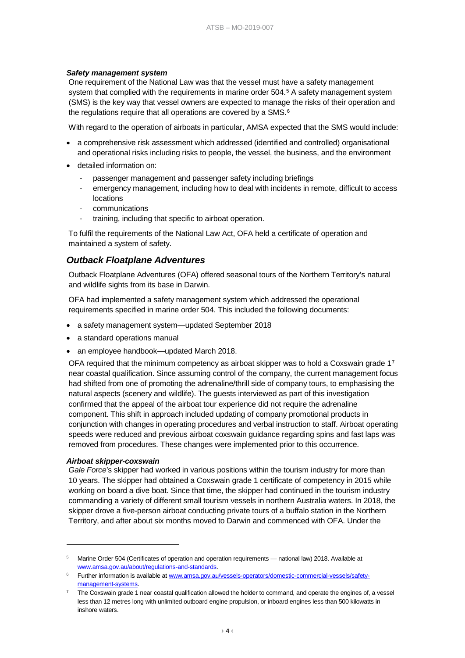#### *Safety management system*

One requirement of the National Law was that the vessel must have a safety management system that complied with the requirements in marine order [5](#page-6-0)04.<sup>5</sup> A safety management system (SMS) is the key way that vessel owners are expected to manage the risks of their operation and the regulations require that all operations are covered by a SMS.<sup>[6](#page-6-1)</sup>

With regard to the operation of airboats in particular, AMSA expected that the SMS would include:

- a comprehensive risk assessment which addressed (identified and controlled) organisational and operational risks including risks to people, the vessel, the business, and the environment
- detailed information on:
	- passenger management and passenger safety including briefings
	- emergency management, including how to deal with incidents in remote, difficult to access locations
	- communications
	- training, including that specific to airboat operation.

To fulfil the requirements of the National Law Act, OFA held a certificate of operation and maintained a system of safety.

#### *Outback Floatplane Adventures*

Outback Floatplane Adventures (OFA) offered seasonal tours of the Northern Territory's natural and wildlife sights from its base in Darwin.

OFA had implemented a safety management system which addressed the operational requirements specified in marine order 504. This included the following documents:

- a safety management system—updated September 2018
- a standard operations manual
- an employee handbook—updated March 2018.

OFA required that the minimum competency as airboat skipper was to hold a Coxswain grade 1[7](#page-6-2) near coastal qualification. Since assuming control of the company, the current management focus had shifted from one of promoting the adrenaline/thrill side of company tours, to emphasising the natural aspects (scenery and wildlife). The guests interviewed as part of this investigation confirmed that the appeal of the airboat tour experience did not require the adrenaline component. This shift in approach included updating of company promotional products in conjunction with changes in operating procedures and verbal instruction to staff. Airboat operating speeds were reduced and previous airboat coxswain guidance regarding spins and fast laps was removed from procedures. These changes were implemented prior to this occurrence.

#### *Airboat skipper-coxswain*

-

*Gale Force*'s skipper had worked in various positions within the tourism industry for more than 10 years. The skipper had obtained a Coxswain grade 1 certificate of competency in 2015 while working on board a dive boat. Since that time, the skipper had continued in the tourism industry commanding a variety of different small tourism vessels in northern Australia waters. In 2018, the skipper drove a five-person airboat conducting private tours of a buffalo station in the Northern Territory, and after about six months moved to Darwin and commenced with OFA. Under the

<span id="page-6-0"></span>Marine Order 504 (Certificates of operation and operation requirements — national law) 2018. Available at [www.amsa.gov.au/about/regulations-and-standards.](https://www.amsa.gov.au/about/regulations-and-standards) 

<span id="page-6-1"></span><sup>6</sup> Further information is available a[t www.amsa.gov.au/vessels-operators/domestic-commercial-vessels/safety](https://www.amsa.gov.au/vessels-operators/domestic-commercial-vessels/safety-management-systems)[management-systems.](https://www.amsa.gov.au/vessels-operators/domestic-commercial-vessels/safety-management-systems)

<span id="page-6-2"></span>The Coxswain grade 1 near coastal qualification allowed the holder to command, and operate the engines of, a vessel less than 12 metres long with unlimited outboard engine propulsion, or inboard engines less than 500 kilowatts in inshore waters.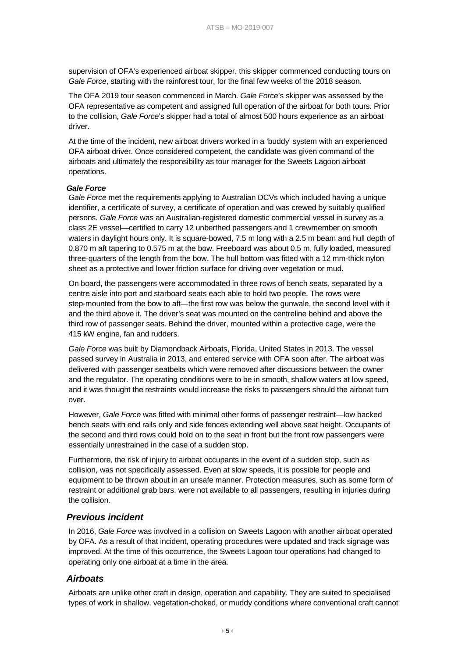supervision of OFA's experienced airboat skipper, this skipper commenced conducting tours on *Gale Force*, starting with the rainforest tour, for the final few weeks of the 2018 season.

The OFA 2019 tour season commenced in March. *Gale Force*'s skipper was assessed by the OFA representative as competent and assigned full operation of the airboat for both tours. Prior to the collision, *Gale Force*'s skipper had a total of almost 500 hours experience as an airboat driver.

At the time of the incident, new airboat drivers worked in a 'buddy' system with an experienced OFA airboat driver. Once considered competent, the candidate was given command of the airboats and ultimately the responsibility as tour manager for the Sweets Lagoon airboat operations.

#### *Gale Force*

*Gale Force* met the requirements applying to Australian DCVs which included having a unique identifier, a certificate of survey, a certificate of operation and was crewed by suitably qualified persons. *Gale Force* was an Australian-registered domestic commercial vessel in survey as a class 2E vessel—certified to carry 12 unberthed passengers and 1 crewmember on smooth waters in daylight hours only. It is square-bowed, 7.5 m long with a 2.5 m beam and hull depth of 0.870 m aft tapering to 0.575 m at the bow. Freeboard was about 0.5 m, fully loaded, measured three-quarters of the length from the bow. The hull bottom was fitted with a 12 mm-thick nylon sheet as a protective and lower friction surface for driving over vegetation or mud.

On board, the passengers were accommodated in three rows of bench seats, separated by a centre aisle into port and starboard seats each able to hold two people. The rows were step-mounted from the bow to aft—the first row was below the gunwale, the second level with it and the third above it. The driver's seat was mounted on the centreline behind and above the third row of passenger seats. Behind the driver, mounted within a protective cage, were the 415 kW engine, fan and rudders.

*Gale Force* was built by Diamondback Airboats, Florida, United States in 2013. The vessel passed survey in Australia in 2013, and entered service with OFA soon after. The airboat was delivered with passenger seatbelts which were removed after discussions between the owner and the regulator. The operating conditions were to be in smooth, shallow waters at low speed, and it was thought the restraints would increase the risks to passengers should the airboat turn over.

However, *Gale Force* was fitted with minimal other forms of passenger restraint—low backed bench seats with end rails only and side fences extending well above seat height. Occupants of the second and third rows could hold on to the seat in front but the front row passengers were essentially unrestrained in the case of a sudden stop.

Furthermore, the risk of injury to airboat occupants in the event of a sudden stop, such as collision, was not specifically assessed. Even at slow speeds, it is possible for people and equipment to be thrown about in an unsafe manner. Protection measures, such as some form of restraint or additional grab bars, were not available to all passengers, resulting in injuries during the collision.

#### *Previous incident*

In 2016, *Gale Force* was involved in a collision on Sweets Lagoon with another airboat operated by OFA. As a result of that incident, operating procedures were updated and track signage was improved. At the time of this occurrence, the Sweets Lagoon tour operations had changed to operating only one airboat at a time in the area.

#### *Airboats*

Airboats are unlike other craft in design, operation and capability. They are suited to specialised types of work in shallow, vegetation-choked, or muddy conditions where conventional craft cannot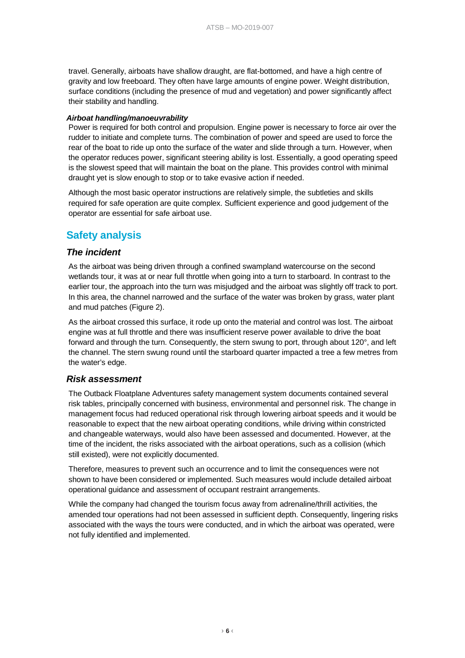travel. Generally, airboats have shallow draught, are flat-bottomed, and have a high centre of gravity and low freeboard. They often have large amounts of engine power. Weight distribution, surface conditions (including the presence of mud and vegetation) and power significantly affect their stability and handling.

#### *Airboat handling/manoeuvrability*

Power is required for both control and propulsion. Engine power is necessary to force air over the rudder to initiate and complete turns. The combination of power and speed are used to force the rear of the boat to ride up onto the surface of the water and slide through a turn. However, when the operator reduces power, significant steering ability is lost. Essentially, a good operating speed is the slowest speed that will maintain the boat on the plane. This provides control with minimal draught yet is slow enough to stop or to take evasive action if needed.

Although the most basic operator instructions are relatively simple, the subtleties and skills required for safe operation are quite complex. Sufficient experience and good judgement of the operator are essential for safe airboat use.

## **Safety analysis**

#### *The incident*

As the airboat was being driven through a confined swampland watercourse on the second wetlands tour, it was at or near full throttle when going into a turn to starboard. In contrast to the earlier tour, the approach into the turn was misjudged and the airboat was slightly off track to port. In this area, the channel narrowed and the surface of the water was broken by grass, water plant and mud patches [\(Figure 2\)](#page-4-0).

As the airboat crossed this surface, it rode up onto the material and control was lost. The airboat engine was at full throttle and there was insufficient reserve power available to drive the boat forward and through the turn. Consequently, the stern swung to port, through about 120°, and left the channel. The stern swung round until the starboard quarter impacted a tree a few metres from the water's edge.

#### *Risk assessment*

The Outback Floatplane Adventures safety management system documents contained several risk tables, principally concerned with business, environmental and personnel risk. The change in management focus had reduced operational risk through lowering airboat speeds and it would be reasonable to expect that the new airboat operating conditions, while driving within constricted and changeable waterways, would also have been assessed and documented. However, at the time of the incident, the risks associated with the airboat operations, such as a collision (which still existed), were not explicitly documented.

Therefore, measures to prevent such an occurrence and to limit the consequences were not shown to have been considered or implemented. Such measures would include detailed airboat operational guidance and assessment of occupant restraint arrangements.

While the company had changed the tourism focus away from adrenaline/thrill activities, the amended tour operations had not been assessed in sufficient depth. Consequently, lingering risks associated with the ways the tours were conducted, and in which the airboat was operated, were not fully identified and implemented.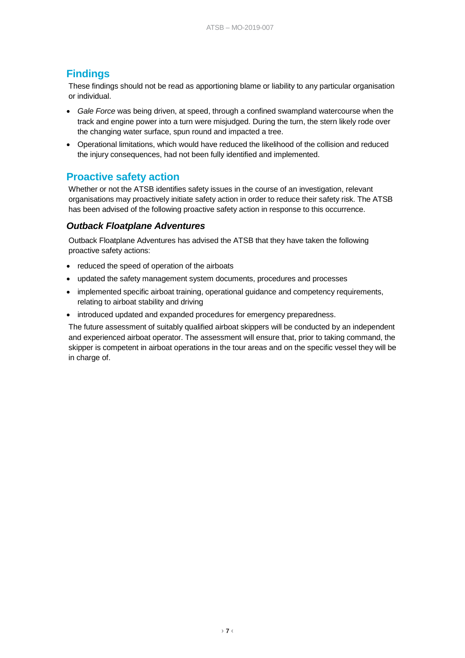## **Findings**

These findings should not be read as apportioning blame or liability to any particular organisation or individual.

- *Gale Force* was being driven, at speed, through a confined swampland watercourse when the track and engine power into a turn were misjudged. During the turn, the stern likely rode over the changing water surface, spun round and impacted a tree.
- Operational limitations, which would have reduced the likelihood of the collision and reduced the injury consequences, had not been fully identified and implemented.

## **Proactive safety action**

Whether or not the ATSB identifies safety issues in the course of an investigation, relevant organisations may proactively initiate safety action in order to reduce their safety risk. The ATSB has been advised of the following proactive safety action in response to this occurrence.

### *Outback Floatplane Adventures*

Outback Floatplane Adventures has advised the ATSB that they have taken the following proactive safety actions:

- reduced the speed of operation of the airboats
- updated the safety management system documents, procedures and processes
- implemented specific airboat training, operational guidance and competency requirements, relating to airboat stability and driving
- introduced updated and expanded procedures for emergency preparedness.

The future assessment of suitably qualified airboat skippers will be conducted by an independent and experienced airboat operator. The assessment will ensure that, prior to taking command, the skipper is competent in airboat operations in the tour areas and on the specific vessel they will be in charge of.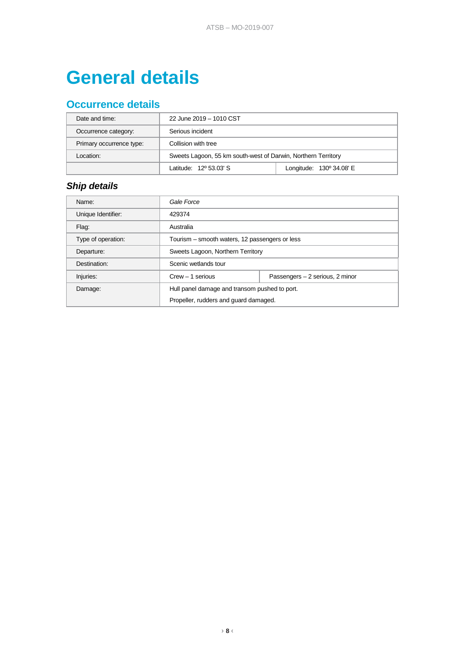## **General details**

## **Occurrence details**

| Date and time:           | 22 June 2019 - 1010 CST                                       |                          |  |
|--------------------------|---------------------------------------------------------------|--------------------------|--|
| Occurrence category:     | Serious incident                                              |                          |  |
| Primary occurrence type: | Collision with tree                                           |                          |  |
| l ocation:               | Sweets Lagoon, 55 km south-west of Darwin, Northern Territory |                          |  |
|                          | Latitude: 12º 53.03' S                                        | Longitude: 130° 34.08' E |  |

## *Ship details*

| Name:              | Gale Force                                     |                                 |  |
|--------------------|------------------------------------------------|---------------------------------|--|
| Unique Identifier: | 429374                                         |                                 |  |
| Flaq:              | Australia                                      |                                 |  |
| Type of operation: | Tourism – smooth waters, 12 passengers or less |                                 |  |
| Departure:         | Sweets Lagoon, Northern Territory              |                                 |  |
| Destination:       | Scenic wetlands tour                           |                                 |  |
| Injuries:          | $Crew - 1$ serious                             | Passengers - 2 serious, 2 minor |  |
| Damage:            | Hull panel damage and transom pushed to port.  |                                 |  |
|                    | Propeller, rudders and guard damaged.          |                                 |  |